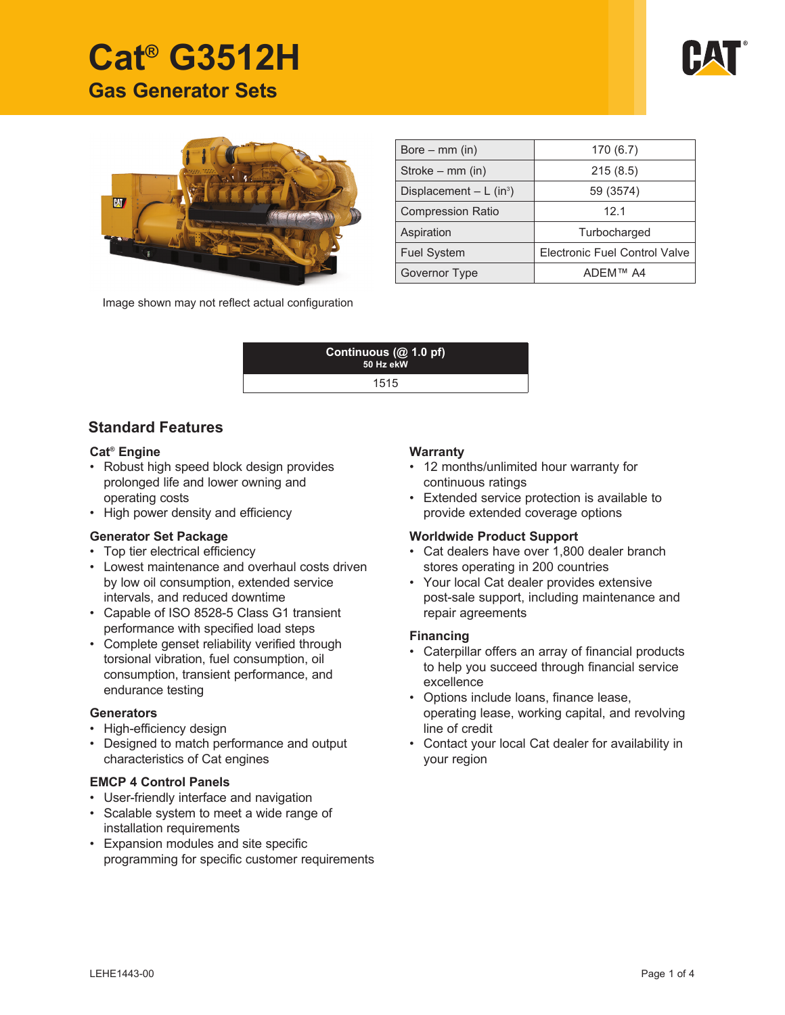# **Cat® G3512H Gas Generator Sets**





| Bore $-$ mm (in)                      | 170(6.7)                      |  |
|---------------------------------------|-------------------------------|--|
| Stroke – mm (in)                      | 215(8.5)                      |  |
| Displacement $- L$ (in <sup>3</sup> ) | 59 (3574)                     |  |
| <b>Compression Ratio</b>              | 12.1                          |  |
| Aspiration                            | Turbocharged                  |  |
| <b>Fuel System</b>                    | Electronic Fuel Control Valve |  |
| Governor Type                         | ADFM™ A4                      |  |

Image shown may not reflect actual configuration

| Continuous $(\overline{a} 1.0 \text{ pf})$<br>50 Hz ekW |  |
|---------------------------------------------------------|--|
| 1515                                                    |  |

#### **Standard Features**

#### **Cat® Engine**

- Robust high speed block design provides prolonged life and lower owning and operating costs
- High power density and efficiency

#### **Generator Set Package**

- Top tier electrical efficiency
- Lowest maintenance and overhaul costs driven by low oil consumption, extended service intervals, and reduced downtime
- Capable of ISO 8528-5 Class G1 transient performance with specified load steps
- Complete genset reliability verified through torsional vibration, fuel consumption, oil consumption, transient performance, and endurance testing

#### **Generators**

- High-efficiency design
- Designed to match performance and output characteristics of Cat engines

#### **EMCP 4 Control Panels**

- User-friendly interface and navigation
- Scalable system to meet a wide range of installation requirements
- Expansion modules and site specific programming for specific customer requirements

#### **Warranty**

- 12 months/unlimited hour warranty for continuous ratings
- Extended service protection is available to provide extended coverage options

#### **Worldwide Product Support**

- Cat dealers have over 1,800 dealer branch stores operating in 200 countries
- Your local Cat dealer provides extensive post-sale support, including maintenance and repair agreements

#### **Financing**

- Caterpillar offers an array of financial products to help you succeed through financial service excellence
- Options include loans, finance lease, operating lease, working capital, and revolving line of credit
- Contact your local Cat dealer for availability in your region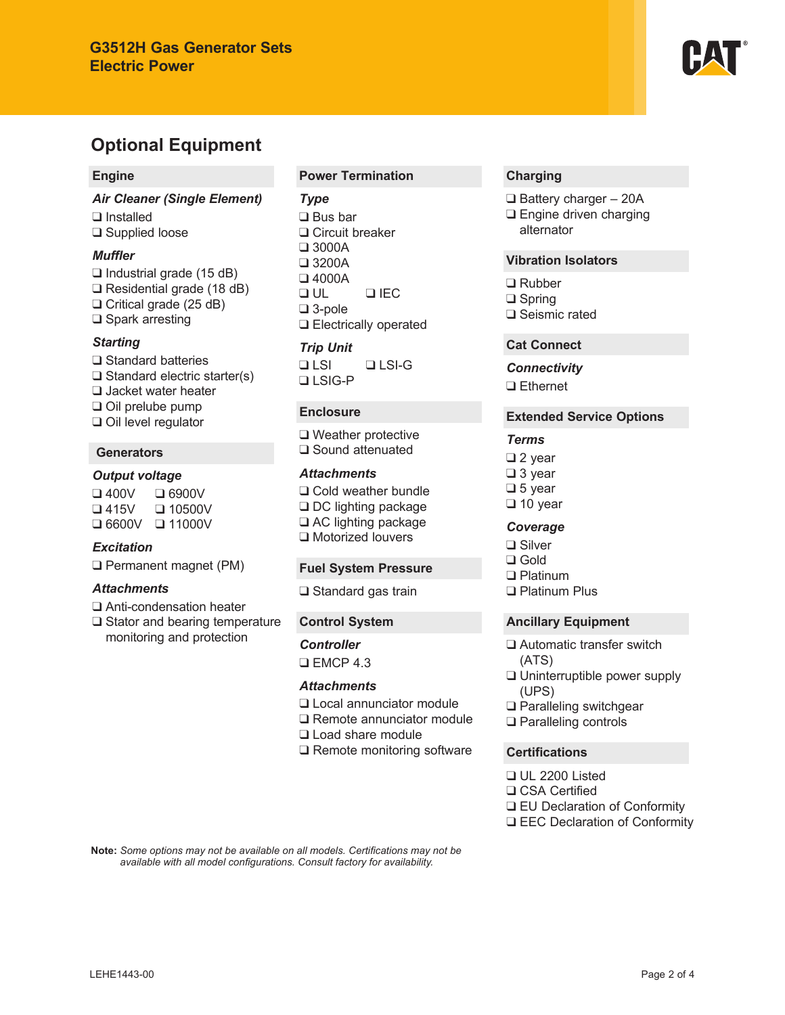

#### **Engine**

*Air Cleaner (Single Element)* ❑ Installed ❑ Supplied loose

#### *Muffler*

❑ Industrial grade (15 dB) ❑ Residential grade (18 dB) ❑ Critical grade (25 dB) ❑ Spark arresting

#### *Starting*

❑ Standard batteries ❑ Standard electric starter(s) ❑ Jacket water heater ❑ Oil prelube pump ❑ Oil level regulator

#### **Generators**

#### *Output voltage*

❑ 400V ❑ 6900V ❑ 415V ❑ 10500V ❑ 6600V ❑ 11000V

#### *Excitation*

❑ Permanent magnet (PM)

#### *Attachments*

- ❑ Anti-condensation heater
- ❑ Stator and bearing temperature monitoring and protection

#### **Power Termination**

#### *Type*

❑ Bus bar ❑ Circuit breaker ❑ 3000A ❑ 3200A ❑ 4000A ❑ UL ❑ IEC ❑ 3-pole ❑ Electrically operated

#### *Trip Unit*

❑ LSI ❑ LSI-G ❑ LSIG-P

#### **Enclosure**

❑ Weather protective ❑ Sound attenuated

#### *Attachments*

❑ Cold weather bundle ❑ DC lighting package ❑ AC lighting package ❑ Motorized louvers

#### **Fuel System Pressure**

❑ Standard gas train

#### **Control System**

*Controller* ❑ EMCP 4.3

#### *Attachments*

- ❑ Local annunciator module
- ❑ Remote annunciator module
- ❑ Load share module
- ❑ Remote monitoring software

#### **Charging**

- ❑ Battery charger 20A
- ❑ Engine driven charging alternator

#### **Vibration Isolators**

❑ Rubber ❑ Spring ❑ Seismic rated

#### **Cat Connect**

*Connectivity* ❑ Ethernet

#### **Extended Service Options**

#### *Terms*

❑ 2 year ❑ 3 year ❑ 5 year ❑ 10 year

#### *Coverage*

❑ Silver ❑ Gold ❑ Platinum ❑ Platinum Plus

- **Ancillary Equipment**
- ❑ Automatic transfer switch (ATS)
- ❑ Uninterruptible power supply (UPS)
- ❑ Paralleling switchgear
- ❑ Paralleling controls

#### **Certifications**

- ❑ UL 2200 Listed ❑ CSA Certified ❑ EU Declaration of Conformity
- ❑ EEC Declaration of Conformity

Note: Some options may not be available on all models. Certifications may not be available with all model configurations. Consult factory for availability.

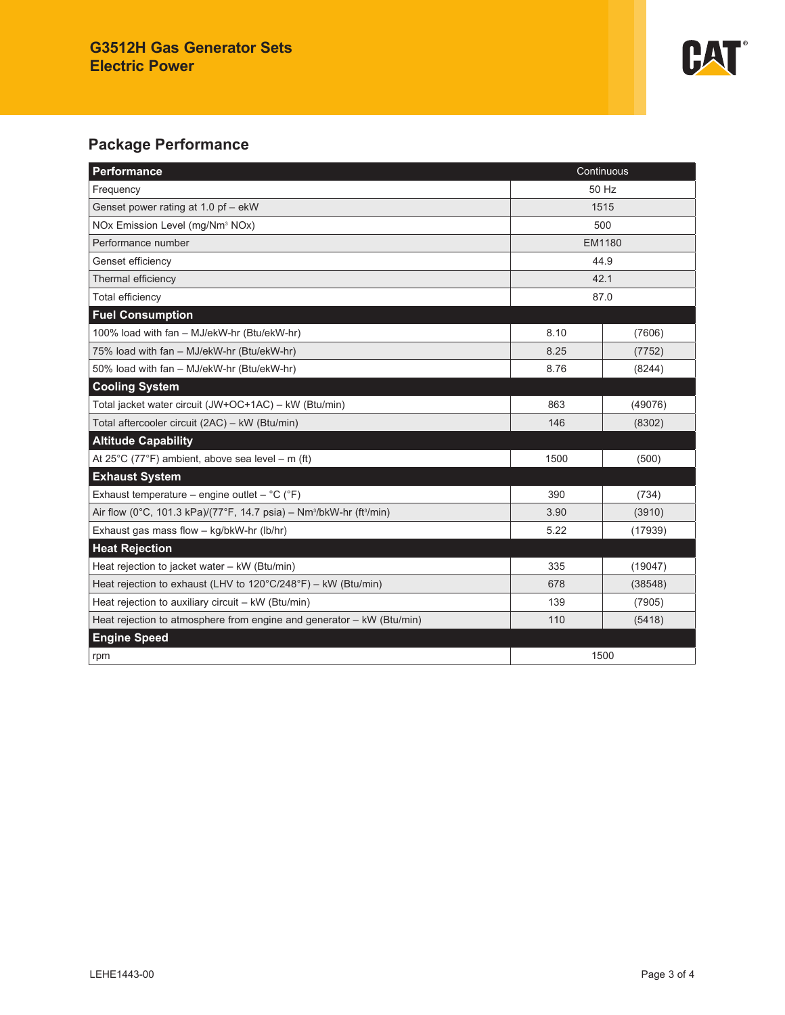

## **Package Performance**

| Performance<br>Continuous                                                                    |        |         |  |  |
|----------------------------------------------------------------------------------------------|--------|---------|--|--|
| Frequency                                                                                    | 50 Hz  |         |  |  |
| Genset power rating at 1.0 pf - ekW                                                          | 1515   |         |  |  |
| NOx Emission Level (mg/Nm <sup>3</sup> NOx)                                                  | 500    |         |  |  |
| Performance number                                                                           | EM1180 |         |  |  |
| Genset efficiency                                                                            | 44.9   |         |  |  |
| Thermal efficiency                                                                           | 42.1   |         |  |  |
| Total efficiency                                                                             | 87.0   |         |  |  |
| <b>Fuel Consumption</b>                                                                      |        |         |  |  |
| 100% load with fan - MJ/ekW-hr (Btu/ekW-hr)                                                  | 8.10   | (7606)  |  |  |
| 75% load with fan - MJ/ekW-hr (Btu/ekW-hr)                                                   | 8.25   | (7752)  |  |  |
| 50% load with fan - MJ/ekW-hr (Btu/ekW-hr)                                                   | 8.76   | (8244)  |  |  |
| <b>Cooling System</b>                                                                        |        |         |  |  |
| Total jacket water circuit (JW+OC+1AC) - kW (Btu/min)                                        | 863    | (49076) |  |  |
| Total aftercooler circuit (2AC) - kW (Btu/min)                                               | 146    | (8302)  |  |  |
| <b>Altitude Capability</b>                                                                   |        |         |  |  |
| At 25°C (77°F) ambient, above sea level – m (ft)                                             | 1500   | (500)   |  |  |
| <b>Exhaust System</b>                                                                        |        |         |  |  |
| Exhaust temperature – engine outlet – $^{\circ}C$ ( $^{\circ}F$ )                            | 390    | (734)   |  |  |
| Air flow (0°C, 101.3 kPa)/(77°F, 14.7 psia) - Nm <sup>3</sup> /bkW-hr (ft <sup>3</sup> /min) | 3.90   | (3910)  |  |  |
| Exhaust gas mass flow - kg/bkW-hr (lb/hr)                                                    | 5.22   | (17939) |  |  |
| <b>Heat Rejection</b>                                                                        |        |         |  |  |
| Heat rejection to jacket water - kW (Btu/min)                                                | 335    | (19047) |  |  |
| Heat rejection to exhaust (LHV to 120°C/248°F) - kW (Btu/min)                                | 678    | (38548) |  |  |
| Heat rejection to auxiliary circuit - kW (Btu/min)                                           | 139    | (7905)  |  |  |
| Heat rejection to atmosphere from engine and generator - kW (Btu/min)                        | 110    | (5418)  |  |  |
| <b>Engine Speed</b>                                                                          |        |         |  |  |
| rpm                                                                                          | 1500   |         |  |  |